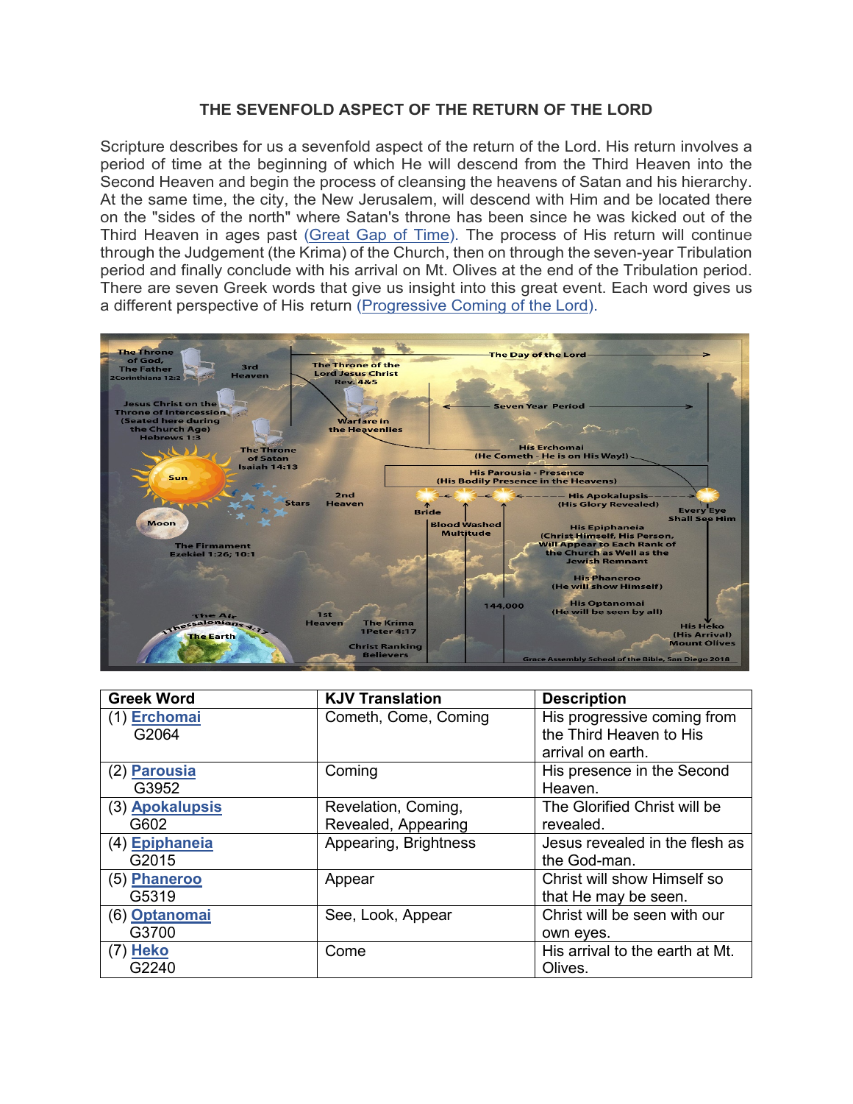### **THE SEVENFOLD ASPECT OF THE RETURN OF THE LORD**

<span id="page-0-0"></span>Scripture describes for us a sevenfold aspect of the return of the Lord. His return involves a period of time at the beginning of which He will descend from the Third Heaven into the Second Heaven and begin the process of cleansing the heavens of Satan and his hierarchy. At the same time, the city, the New Jerusalem, will descend with Him and be located there on the "sides of the north" where Satan's throne has been since he was kicked out of the Third Heaven in ages past [\(Great Gap of Time\).](https://graceassemblysandiego.info/wp-content/uploads/GreatGapofTimeopt.pdf) The process of His return will continue through the Judgement (the Krima) of the Church, then on through the seven-year Tribulation period and finally conclude with his arrival on Mt. Olives at the end of the Tribulation period. There are seven Greek words that give us insight into this great event. Each word gives us a different perspective of His return [\(Progressive Coming of the Lord\)](https://graceassemblysandiego.info/wp-content/uploads/ProgressiveComingoftheLordopt.pdf).



| <b>Greek Word</b> | <b>KJV Translation</b> | <b>Description</b>              |
|-------------------|------------------------|---------------------------------|
| (1) Erchomai      | Cometh, Come, Coming   | His progressive coming from     |
| G2064             |                        | the Third Heaven to His         |
|                   |                        | arrival on earth.               |
| (2) Parousia      | Coming                 | His presence in the Second      |
| G3952             |                        | Heaven.                         |
| (3) Apokalupsis   | Revelation, Coming,    | The Glorified Christ will be    |
| G602              | Revealed, Appearing    | revealed.                       |
| (4) Epiphaneia    | Appearing, Brightness  | Jesus revealed in the flesh as  |
| G2015             |                        | the God-man.                    |
| (5) Phaneroo      | Appear                 | Christ will show Himself so     |
| G5319             |                        | that He may be seen.            |
| (6) Optanomai     | See, Look, Appear      | Christ will be seen with our    |
| G3700             |                        | own eyes.                       |
| $(7)$ Heko        | Come                   | His arrival to the earth at Mt. |
| G2240             |                        | Olives.                         |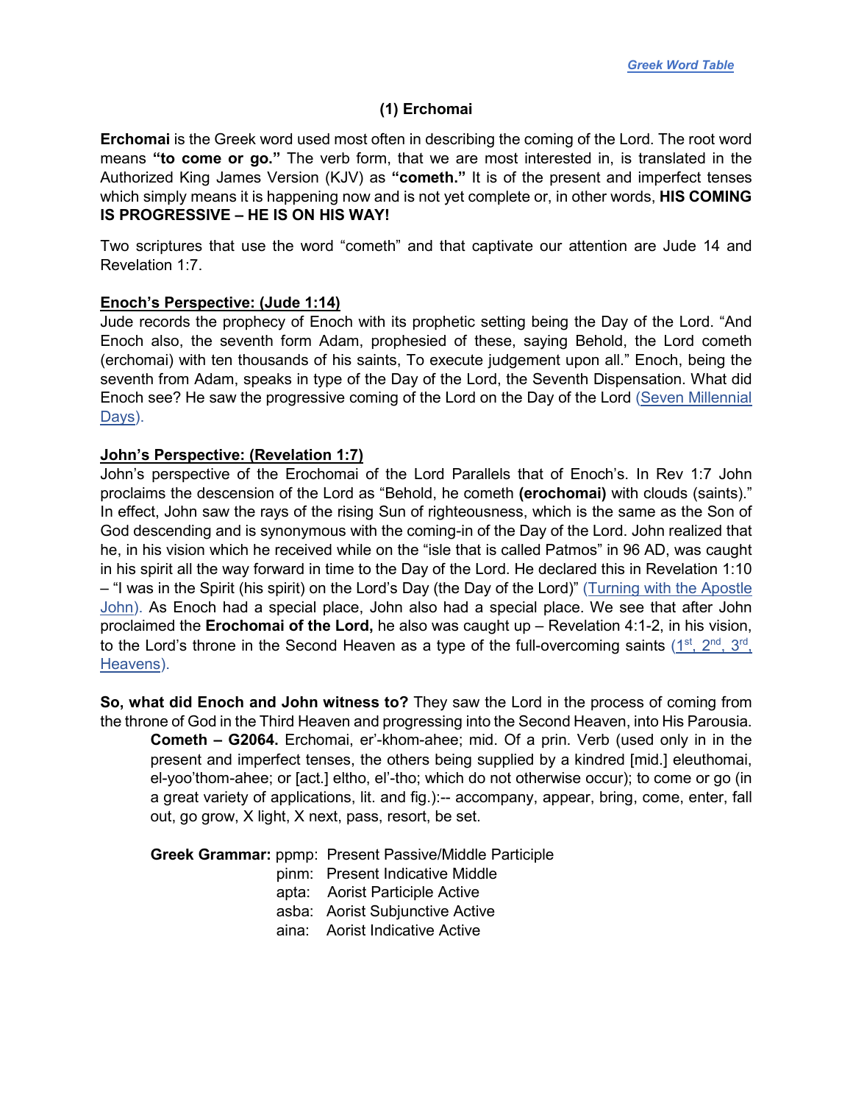### **(1) Erchomai**

<span id="page-1-0"></span>**Erchomai** is the Greek word used most often in describing the coming of the Lord. The root word means **"to come or go."** The verb form, that we are most interested in, is translated in the Authorized King James Version (KJV) as **"cometh."** It is of the present and imperfect tenses which simply means it is happening now and is not yet complete or, in other words, **HIS COMING IS PROGRESSIVE – HE IS ON HIS WAY!**

Two scriptures that use the word "cometh" and that captivate our attention are Jude 14 and Revelation 1:7.

### **Enoch's Perspective: (Jude 1:14)**

Jude records the prophecy of Enoch with its prophetic setting being the Day of the Lord. "And Enoch also, the seventh form Adam, prophesied of these, saying Behold, the Lord cometh (erchomai) with ten thousands of his saints, To execute judgement upon all." Enoch, being the seventh from Adam, speaks in type of the Day of the Lord, the Seventh Dispensation. What did Enoch see? He saw the progressive coming of the Lord on the Day of the Lord (Seven Millennial [Days\).](https://graceassemblysandiego.info/wp-content/uploads/SevenMillennialDaysopt.pdf)

### **John's Perspective: (Revelation 1:7)**

John's perspective of the Erochomai of the Lord Parallels that of Enoch's. In Rev 1:7 John proclaims the descension of the Lord as "Behold, he cometh **(erochomai)** with clouds (saints)." In effect, John saw the rays of the rising Sun of righteousness, which is the same as the Son of God descending and is synonymous with the coming-in of the Day of the Lord. John realized that he, in his vision which he received while on the "isle that is called Patmos" in 96 AD, was caught in his spirit all the way forward in time to the Day of the Lord. He declared this in Revelation 1:10 – "I was in the Spirit (his spirit) on the Lord's Day (the Day of the Lord)" [\(Turning with the Apostle](https://graceassemblysandiego.info/wp-content/uploads/TurningwiththeApostleJohn.pdf) [John\)](https://graceassemblysandiego.info/wp-content/uploads/TurningwiththeApostleJohn.pdf). As Enoch had a special place, John also had a special place. We see that after John proclaimed the **Erochomai of the Lord,** he also was caught up – Revelation 4:1-2, in his vision, to the Lord's throne in the Second Heaven as a type of the full-overcoming saints (1<sup>st</sup>, 2<sup>nd</sup>, 3<sup>rd</sup>, [Heavens\).](https://graceassemblysandiego.info/wp-content/uploads/1st2ndand3rdHeavens.pdf)

**So, what did Enoch and John witness to?** They saw the Lord in the process of coming from the throne of God in the Third Heaven and progressing into the Second Heaven, into His Parousia. **Cometh – G2064.** Erchomai, er'-khom-ahee; mid. Of a prin. Verb (used only in in the present and imperfect tenses, the others being supplied by a kindred [mid.] eleuthomai, el-yoo'thom-ahee; or [act.] eltho, el'-tho; which do not otherwise occur); to come or go (in a great variety of applications, lit. and fig.):-- accompany, appear, bring, come, enter, fall out, go grow, X light, X next, pass, resort, be set.

**Greek Grammar:** ppmp: Present Passive/Middle Participle

- pinm: Present Indicative Middle
- apta: Aorist Participle Active
- asba: Aorist Subjunctive Active
- aina: Aorist Indicative Active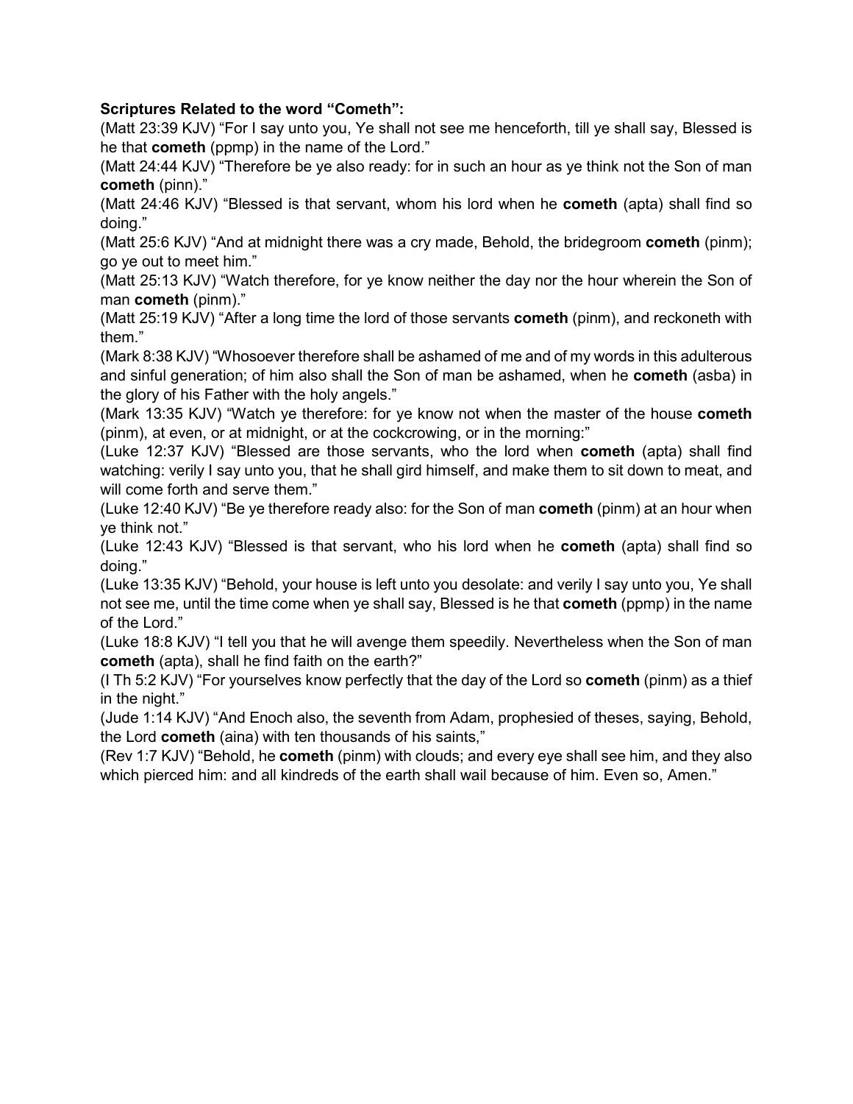# **Scriptures Related to the word "Cometh":**

(Matt 23:39 KJV) "For I say unto you, Ye shall not see me henceforth, till ye shall say, Blessed is he that **cometh** (ppmp) in the name of the Lord."

(Matt 24:44 KJV) "Therefore be ye also ready: for in such an hour as ye think not the Son of man **cometh** (pinn)."

(Matt 24:46 KJV) "Blessed is that servant, whom his lord when he **cometh** (apta) shall find so doing."

(Matt 25:6 KJV) "And at midnight there was a cry made, Behold, the bridegroom **cometh** (pinm); go ye out to meet him."

(Matt 25:13 KJV) "Watch therefore, for ye know neither the day nor the hour wherein the Son of man **cometh** (pinm)."

(Matt 25:19 KJV) "After a long time the lord of those servants **cometh** (pinm), and reckoneth with them."

(Mark 8:38 KJV) "Whosoever therefore shall be ashamed of me and of my words in this adulterous and sinful generation; of him also shall the Son of man be ashamed, when he **cometh** (asba) in the glory of his Father with the holy angels."

(Mark 13:35 KJV) "Watch ye therefore: for ye know not when the master of the house **cometh** (pinm), at even, or at midnight, or at the cockcrowing, or in the morning:"

(Luke 12:37 KJV) "Blessed are those servants, who the lord when **cometh** (apta) shall find watching: verily I say unto you, that he shall gird himself, and make them to sit down to meat, and will come forth and serve them."

(Luke 12:40 KJV) "Be ye therefore ready also: for the Son of man **cometh** (pinm) at an hour when ye think not."

(Luke 12:43 KJV) "Blessed is that servant, who his lord when he **cometh** (apta) shall find so doing."

(Luke 13:35 KJV) "Behold, your house is left unto you desolate: and verily I say unto you, Ye shall not see me, until the time come when ye shall say, Blessed is he that **cometh** (ppmp) in the name of the Lord."

(Luke 18:8 KJV) "I tell you that he will avenge them speedily. Nevertheless when the Son of man **cometh** (apta), shall he find faith on the earth?"

(I Th 5:2 KJV) "For yourselves know perfectly that the day of the Lord so **cometh** (pinm) as a thief in the night."

(Jude 1:14 KJV) "And Enoch also, the seventh from Adam, prophesied of theses, saying, Behold, the Lord **cometh** (aina) with ten thousands of his saints,"

(Rev 1:7 KJV) "Behold, he **cometh** (pinm) with clouds; and every eye shall see him, and they also which pierced him: and all kindreds of the earth shall wail because of him. Even so, Amen."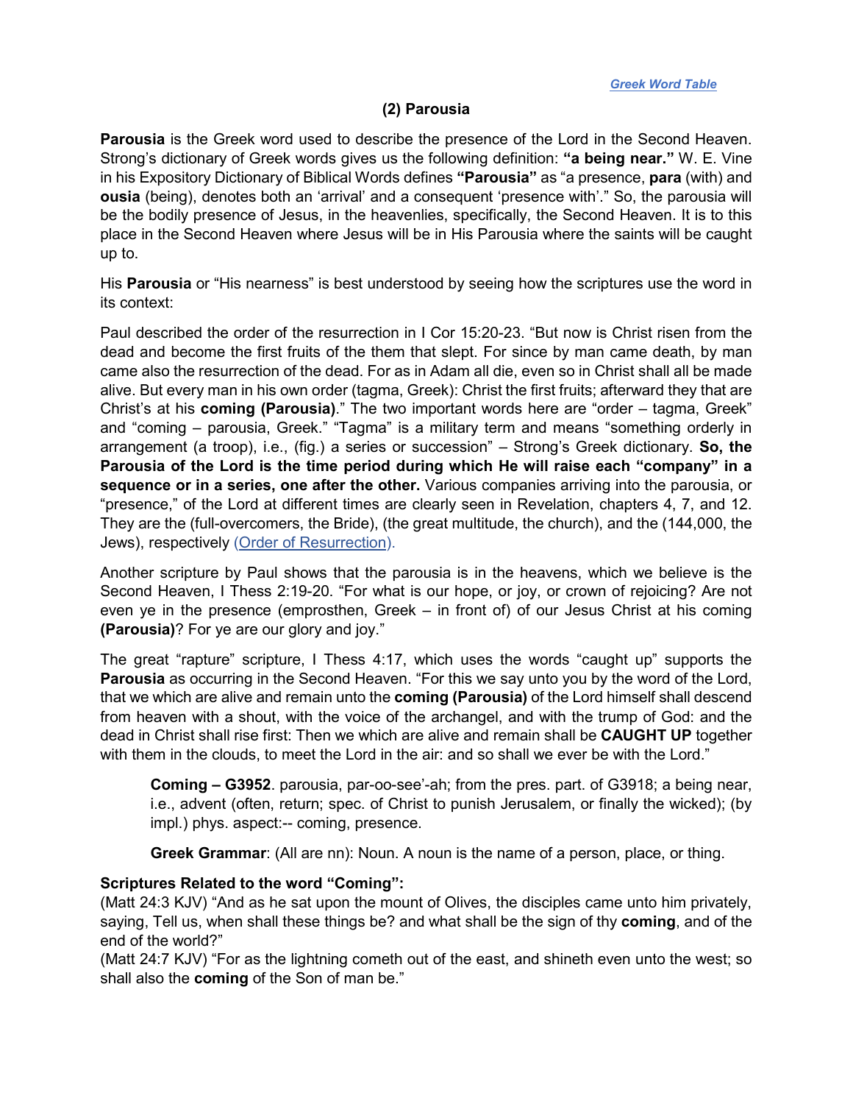# **(2) Parousia**

<span id="page-3-0"></span>**Parousia** is the Greek word used to describe the presence of the Lord in the Second Heaven. Strong's dictionary of Greek words gives us the following definition: **"a being near."** W. E. Vine in his Expository Dictionary of Biblical Words defines **"Parousia"** as "a presence, **para** (with) and **ousia** (being), denotes both an 'arrival' and a consequent 'presence with'." So, the parousia will be the bodily presence of Jesus, in the heavenlies, specifically, the Second Heaven. It is to this place in the Second Heaven where Jesus will be in His Parousia where the saints will be caught up to.

His **Parousia** or "His nearness" is best understood by seeing how the scriptures use the word in its context:

Paul described the order of the resurrection in I Cor 15:20-23. "But now is Christ risen from the dead and become the first fruits of the them that slept. For since by man came death, by man came also the resurrection of the dead. For as in Adam all die, even so in Christ shall all be made alive. But every man in his own order (tagma, Greek): Christ the first fruits; afterward they that are Christ's at his **coming (Parousia)**." The two important words here are "order – tagma, Greek" and "coming – parousia, Greek." "Tagma" is a military term and means "something orderly in arrangement (a troop), i.e., (fig.) a series or succession" – Strong's Greek dictionary. **So, the Parousia of the Lord is the time period during which He will raise each "company" in a sequence or in a series, one after the other.** Various companies arriving into the parousia, or "presence," of the Lord at different times are clearly seen in Revelation, chapters 4, 7, and 12. They are the (full-overcomers, the Bride), (the great multitude, the church), and the (144,000, the Jews), respectively [\(Order of Resurrection\).](https://graceassemblysandiego.info/wp-content/uploads/OrderofResurrectionopt.pdf)

Another scripture by Paul shows that the parousia is in the heavens, which we believe is the Second Heaven, I Thess 2:19-20. "For what is our hope, or joy, or crown of rejoicing? Are not even ye in the presence (emprosthen, Greek – in front of) of our Jesus Christ at his coming **(Parousia)**? For ye are our glory and joy."

The great "rapture" scripture, I Thess 4:17, which uses the words "caught up" supports the **Parousia** as occurring in the Second Heaven. "For this we say unto you by the word of the Lord, that we which are alive and remain unto the **coming (Parousia)** of the Lord himself shall descend from heaven with a shout, with the voice of the archangel, and with the trump of God: and the dead in Christ shall rise first: Then we which are alive and remain shall be **CAUGHT UP** together with them in the clouds, to meet the Lord in the air: and so shall we ever be with the Lord."

**Coming – G3952**. parousia, par-oo-see'-ah; from the pres. part. of G3918; a being near, i.e., advent (often, return; spec. of Christ to punish Jerusalem, or finally the wicked); (by impl.) phys. aspect:-- coming, presence.

**Greek Grammar**: (All are nn): Noun. A noun is the name of a person, place, or thing.

### **Scriptures Related to the word "Coming":**

(Matt 24:3 KJV) "And as he sat upon the mount of Olives, the disciples came unto him privately, saying, Tell us, when shall these things be? and what shall be the sign of thy **coming**, and of the end of the world?"

(Matt 24:7 KJV) "For as the lightning cometh out of the east, and shineth even unto the west; so shall also the **coming** of the Son of man be."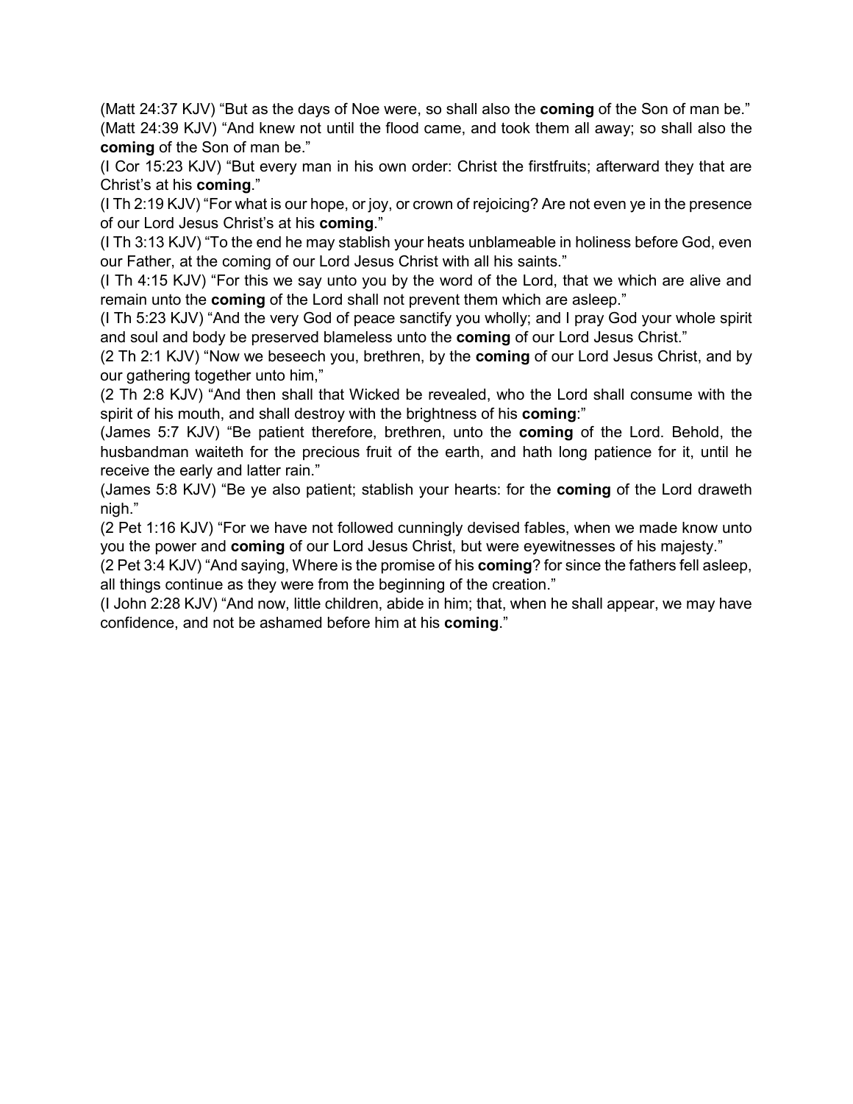(Matt 24:37 KJV) "But as the days of Noe were, so shall also the **coming** of the Son of man be." (Matt 24:39 KJV) "And knew not until the flood came, and took them all away; so shall also the **coming** of the Son of man be."

(I Cor 15:23 KJV) "But every man in his own order: Christ the firstfruits; afterward they that are Christ's at his **coming**."

(I Th 2:19 KJV) "For what is our hope, or joy, or crown of rejoicing? Are not even ye in the presence of our Lord Jesus Christ's at his **coming**."

(I Th 3:13 KJV) "To the end he may stablish your heats unblameable in holiness before God, even our Father, at the coming of our Lord Jesus Christ with all his saints."

(I Th 4:15 KJV) "For this we say unto you by the word of the Lord, that we which are alive and remain unto the **coming** of the Lord shall not prevent them which are asleep."

(I Th 5:23 KJV) "And the very God of peace sanctify you wholly; and I pray God your whole spirit and soul and body be preserved blameless unto the **coming** of our Lord Jesus Christ."

(2 Th 2:1 KJV) "Now we beseech you, brethren, by the **coming** of our Lord Jesus Christ, and by our gathering together unto him,"

(2 Th 2:8 KJV) "And then shall that Wicked be revealed, who the Lord shall consume with the spirit of his mouth, and shall destroy with the brightness of his **coming**:"

(James 5:7 KJV) "Be patient therefore, brethren, unto the **coming** of the Lord. Behold, the husbandman waiteth for the precious fruit of the earth, and hath long patience for it, until he receive the early and latter rain."

(James 5:8 KJV) "Be ye also patient; stablish your hearts: for the **coming** of the Lord draweth nigh."

(2 Pet 1:16 KJV) "For we have not followed cunningly devised fables, when we made know unto you the power and **coming** of our Lord Jesus Christ, but were eyewitnesses of his majesty."

(2 Pet 3:4 KJV) "And saying, Where is the promise of his **coming**? for since the fathers fell asleep, all things continue as they were from the beginning of the creation."

(I John 2:28 KJV) "And now, little children, abide in him; that, when he shall appear, we may have confidence, and not be ashamed before him at his **coming**."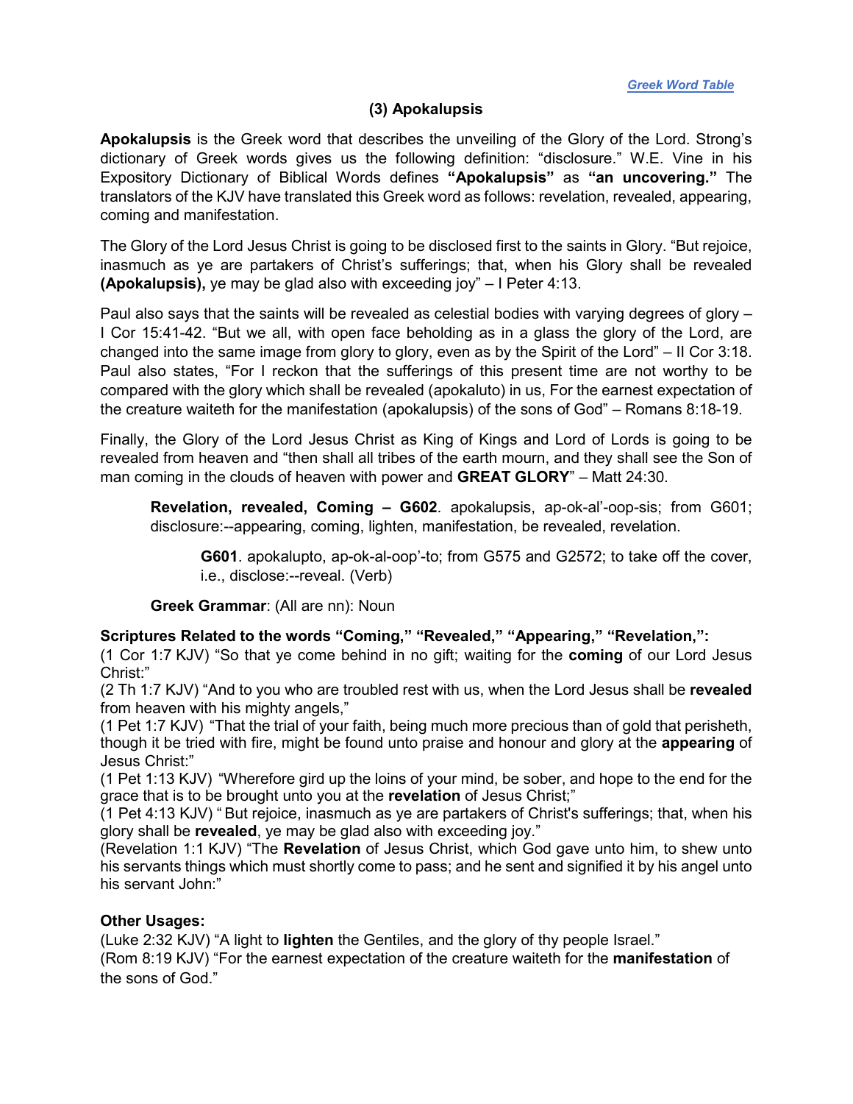*[Greek Word Table](#page-0-0)*

### **(3) Apokalupsis**

<span id="page-5-0"></span>**Apokalupsis** is the Greek word that describes the unveiling of the Glory of the Lord. Strong's dictionary of Greek words gives us the following definition: "disclosure." W.E. Vine in his Expository Dictionary of Biblical Words defines **"Apokalupsis"** as **"an uncovering."** The translators of the KJV have translated this Greek word as follows: revelation, revealed, appearing, coming and manifestation.

The Glory of the Lord Jesus Christ is going to be disclosed first to the saints in Glory. "But rejoice, inasmuch as ye are partakers of Christ's sufferings; that, when his Glory shall be revealed **(Apokalupsis),** ye may be glad also with exceeding joy" – I Peter 4:13.

Paul also says that the saints will be revealed as celestial bodies with varying degrees of glory – I Cor 15:41-42. "But we all, with open face beholding as in a glass the glory of the Lord, are changed into the same image from glory to glory, even as by the Spirit of the Lord" – II Cor 3:18. Paul also states, "For I reckon that the sufferings of this present time are not worthy to be compared with the glory which shall be revealed (apokaluto) in us, For the earnest expectation of the creature waiteth for the manifestation (apokalupsis) of the sons of God" – Romans 8:18-19.

Finally, the Glory of the Lord Jesus Christ as King of Kings and Lord of Lords is going to be revealed from heaven and "then shall all tribes of the earth mourn, and they shall see the Son of man coming in the clouds of heaven with power and **GREAT GLORY**" – Matt 24:30.

**Revelation, revealed, Coming – G602**. apokalupsis, ap-ok-al'-oop-sis; from G601; disclosure:--appearing, coming, lighten, manifestation, be revealed, revelation.

**G601**. apokalupto, ap-ok-al-oop'-to; from G575 and G2572; to take off the cover, i.e., disclose:--reveal. (Verb)

**Greek Grammar**: (All are nn): Noun

### **Scriptures Related to the words "Coming," "Revealed," "Appearing," "Revelation,":**

(1 Cor 1:7 KJV) "So that ye come behind in no gift; waiting for the **coming** of our Lord Jesus Christ:"

(2 Th 1:7 KJV) "And to you who are troubled rest with us, when the Lord Jesus shall be **revealed** from heaven with his mighty angels,"

(1 Pet 1:7 KJV) "That the trial of your faith, being much more precious than of gold that perisheth, though it be tried with fire, might be found unto praise and honour and glory at the **appearing** of Jesus Christ:"

(1 Pet 1:13 KJV) "Wherefore gird up the loins of your mind, be sober, and hope to the end for the grace that is to be brought unto you at the **revelation** of Jesus Christ;"

(1 Pet 4:13 KJV) " But rejoice, inasmuch as ye are partakers of Christ's sufferings; that, when his glory shall be **revealed**, ye may be glad also with exceeding joy."

(Revelation 1:1 KJV) "The **Revelation** of Jesus Christ, which God gave unto him, to shew unto his servants things which must shortly come to pass; and he sent and signified it by his angel unto his servant John:"

### **Other Usages:**

(Luke 2:32 KJV) "A light to **lighten** the Gentiles, and the glory of thy people Israel."

(Rom 8:19 KJV) "For the earnest expectation of the creature waiteth for the **manifestation** of the sons of God."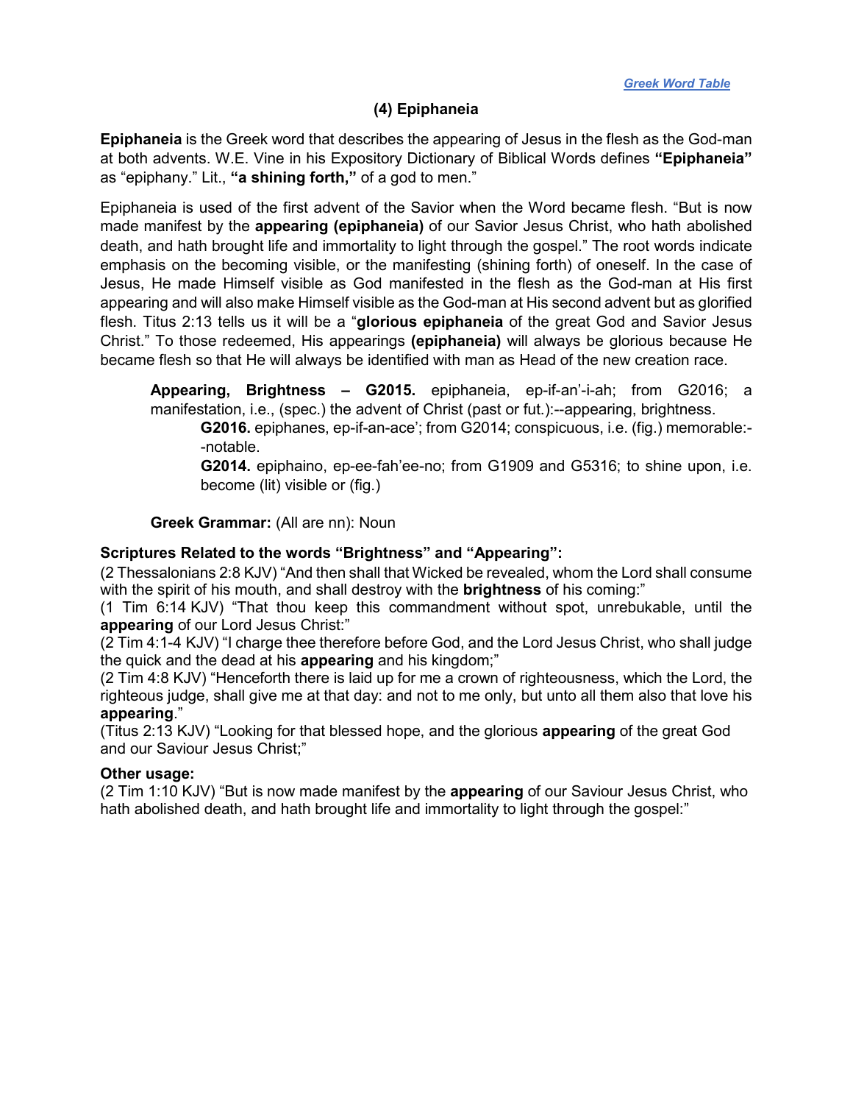### **(4) Epiphaneia**

<span id="page-6-0"></span>**Epiphaneia** is the Greek word that describes the appearing of Jesus in the flesh as the God-man at both advents. W.E. Vine in his Expository Dictionary of Biblical Words defines **"Epiphaneia"** as "epiphany." Lit., **"a shining forth,"** of a god to men."

Epiphaneia is used of the first advent of the Savior when the Word became flesh. "But is now made manifest by the **appearing (epiphaneia)** of our Savior Jesus Christ, who hath abolished death, and hath brought life and immortality to light through the gospel." The root words indicate emphasis on the becoming visible, or the manifesting (shining forth) of oneself. In the case of Jesus, He made Himself visible as God manifested in the flesh as the God-man at His first appearing and will also make Himself visible as the God-man at His second advent but as glorified flesh. Titus 2:13 tells us it will be a "**glorious epiphaneia** of the great God and Savior Jesus Christ." To those redeemed, His appearings **(epiphaneia)** will always be glorious because He became flesh so that He will always be identified with man as Head of the new creation race.

**Appearing, Brightness – G2015.** epiphaneia, ep-if-an'-i-ah; from G2016; a manifestation, i.e., (spec.) the advent of Christ (past or fut.):--appearing, brightness.

**G2016.** epiphanes, ep-if-an-ace'; from G2014; conspicuous, i.e. (fig.) memorable:- -notable.

**G2014.** epiphaino, ep-ee-fah'ee-no; from G1909 and G5316; to shine upon, i.e. become (lit) visible or (fig.)

**Greek Grammar:** (All are nn): Noun

### **Scriptures Related to the words "Brightness" and "Appearing":**

(2 Thessalonians 2:8 KJV) "And then shall that Wicked be revealed, whom the Lord shall consume with the spirit of his mouth, and shall destroy with the **brightness** of his coming:"

(1 Tim 6:14 KJV) "That thou keep this commandment without spot, unrebukable, until the **appearing** of our Lord Jesus Christ:"

(2 Tim 4:1-4 KJV) "I charge thee therefore before God, and the Lord Jesus Christ, who shall judge the quick and the dead at his **appearing** and his kingdom;"

(2 Tim 4:8 KJV) "Henceforth there is laid up for me a crown of righteousness, which the Lord, the righteous judge, shall give me at that day: and not to me only, but unto all them also that love his **appearing**."

(Titus 2:13 KJV) "Looking for that blessed hope, and the glorious **appearing** of the great God and our Saviour Jesus Christ;"

#### **Other usage:**

(2 Tim 1:10 KJV) "But is now made manifest by the **appearing** of our Saviour Jesus Christ, who hath abolished death, and hath brought life and immortality to light through the gospel:"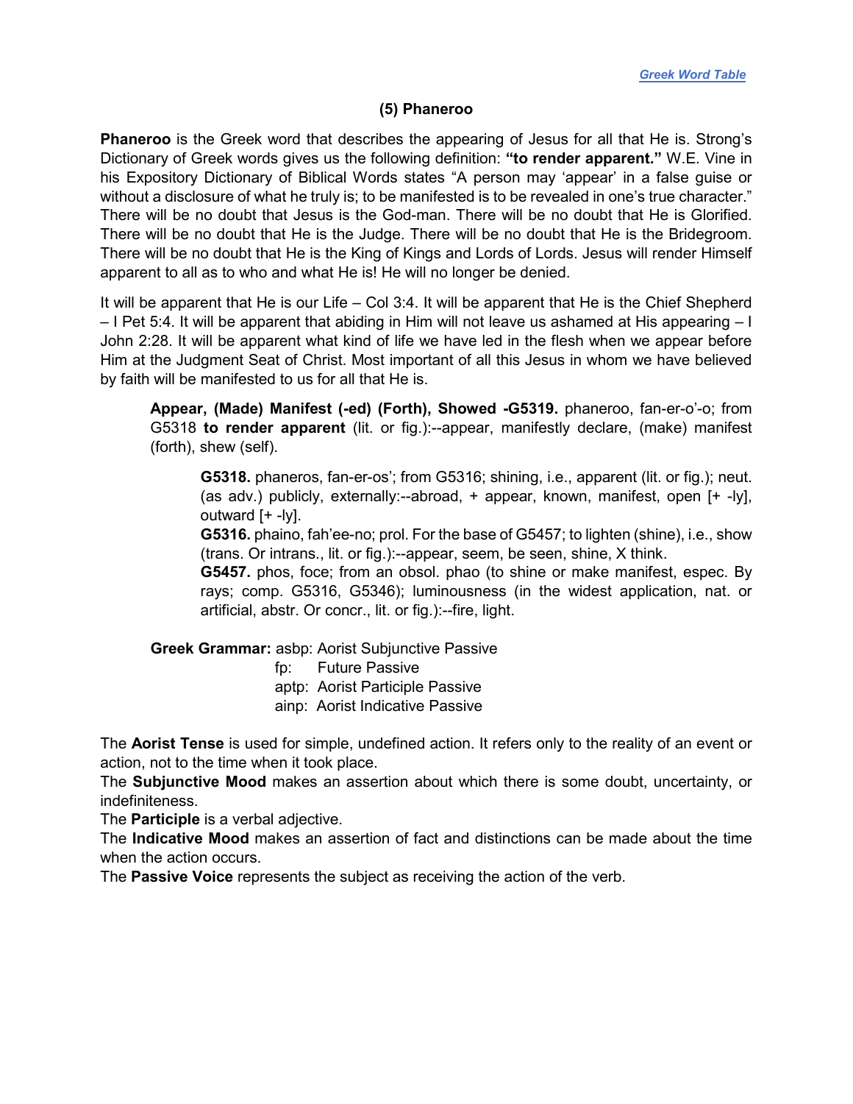#### **(5) Phaneroo**

<span id="page-7-0"></span>**Phaneroo** is the Greek word that describes the appearing of Jesus for all that He is. Strong's Dictionary of Greek words gives us the following definition: **"to render apparent."** W.E. Vine in his Expository Dictionary of Biblical Words states "A person may 'appear' in a false guise or without a disclosure of what he truly is; to be manifested is to be revealed in one's true character." There will be no doubt that Jesus is the God-man. There will be no doubt that He is Glorified. There will be no doubt that He is the Judge. There will be no doubt that He is the Bridegroom. There will be no doubt that He is the King of Kings and Lords of Lords. Jesus will render Himself apparent to all as to who and what He is! He will no longer be denied.

It will be apparent that He is our Life – Col 3:4. It will be apparent that He is the Chief Shepherd – I Pet 5:4. It will be apparent that abiding in Him will not leave us ashamed at His appearing – I John 2:28. It will be apparent what kind of life we have led in the flesh when we appear before Him at the Judgment Seat of Christ. Most important of all this Jesus in whom we have believed by faith will be manifested to us for all that He is.

**Appear, (Made) Manifest (-ed) (Forth), Showed -G5319.** phaneroo, fan-er-o'-o; from G5318 **to render apparent** (lit. or fig.):--appear, manifestly declare, (make) manifest (forth), shew (self).

**G5318.** phaneros, fan-er-os'; from G5316; shining, i.e., apparent (lit. or fig.); neut. (as adv.) publicly, externally:--abroad, + appear, known, manifest, open [+ -ly], outward [+ -ly].

**G5316.** phaino, fah'ee-no; prol. For the base of G5457; to lighten (shine), i.e., show (trans. Or intrans., lit. or fig.):--appear, seem, be seen, shine, X think.

**G5457.** phos, foce; from an obsol. phao (to shine or make manifest, espec. By rays; comp. G5316, G5346); luminousness (in the widest application, nat. or artificial, abstr. Or concr., lit. or fig.):--fire, light.

**Greek Grammar:** asbp: Aorist Subjunctive Passive

 fp: Future Passive aptp: Aorist Participle Passive ainp: Aorist Indicative Passive

The **Aorist Tense** is used for simple, undefined action. It refers only to the reality of an event or action, not to the time when it took place.

The **Subjunctive Mood** makes an assertion about which there is some doubt, uncertainty, or indefiniteness.

The **Participle** is a verbal adjective.

The **Indicative Mood** makes an assertion of fact and distinctions can be made about the time when the action occurs.

The **Passive Voice** represents the subject as receiving the action of the verb.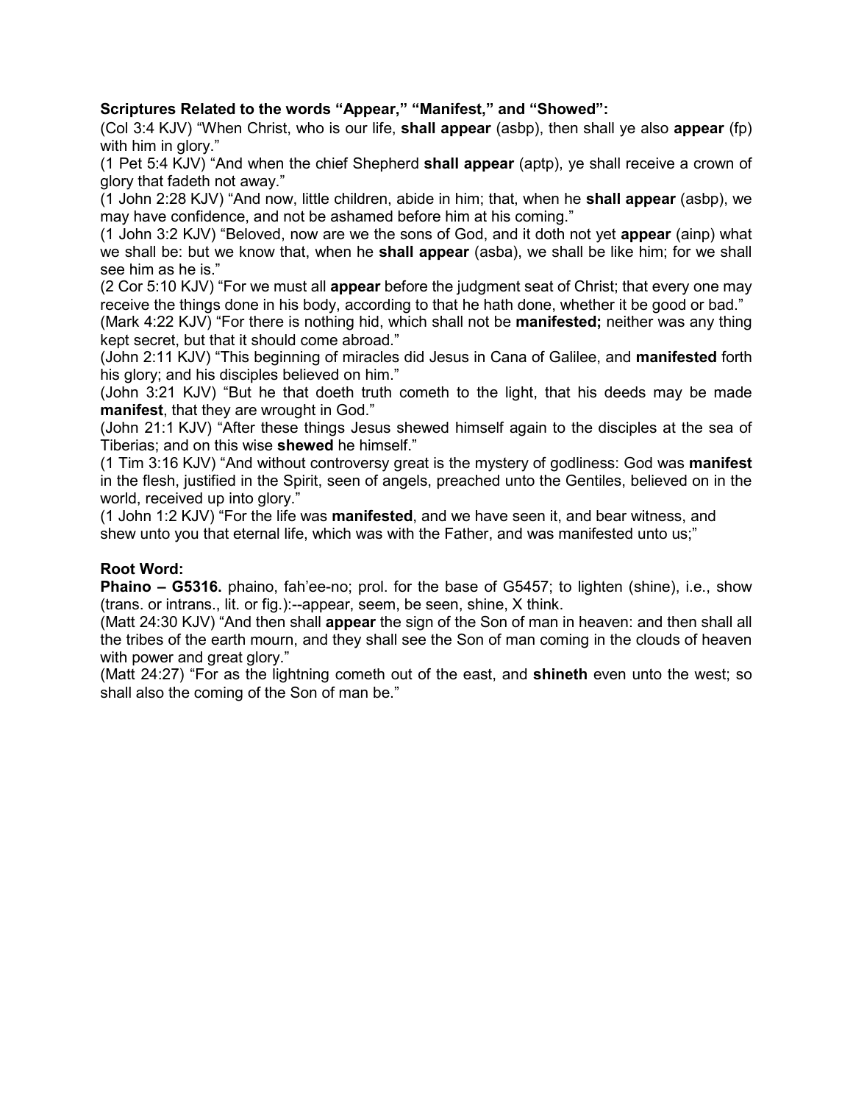# **Scriptures Related to the words "Appear," "Manifest," and "Showed":**

(Col 3:4 KJV) "When Christ, who is our life, **shall appear** (asbp), then shall ye also **appear** (fp) with him in glory."

(1 Pet 5:4 KJV) "And when the chief Shepherd **shall appear** (aptp), ye shall receive a crown of glory that fadeth not away."

(1 John 2:28 KJV) "And now, little children, abide in him; that, when he **shall appear** (asbp), we may have confidence, and not be ashamed before him at his coming."

(1 John 3:2 KJV) "Beloved, now are we the sons of God, and it doth not yet **appear** (ainp) what we shall be: but we know that, when he **shall appear** (asba), we shall be like him; for we shall see him as he is."

(2 Cor 5:10 KJV) "For we must all **appear** before the judgment seat of Christ; that every one may receive the things done in his body, according to that he hath done, whether it be good or bad."

(Mark 4:22 KJV) "For there is nothing hid, which shall not be **manifested;** neither was any thing kept secret, but that it should come abroad."

(John 2:11 KJV) "This beginning of miracles did Jesus in Cana of Galilee, and **manifested** forth his glory; and his disciples believed on him."

(John 3:21 KJV) "But he that doeth truth cometh to the light, that his deeds may be made **manifest**, that they are wrought in God."

(John 21:1 KJV) "After these things Jesus shewed himself again to the disciples at the sea of Tiberias; and on this wise **shewed** he himself."

(1 Tim 3:16 KJV) "And without controversy great is the mystery of godliness: God was **manifest** in the flesh, justified in the Spirit, seen of angels, preached unto the Gentiles, believed on in the world, received up into glory."

(1 John 1:2 KJV) "For the life was **manifested**, and we have seen it, and bear witness, and shew unto you that eternal life, which was with the Father, and was manifested unto us;"

### **Root Word:**

**Phaino – G5316.** phaino, fah'ee-no; prol. for the base of G5457; to lighten (shine), i.e., show (trans. or intrans., lit. or fig.):--appear, seem, be seen, shine, X think.

(Matt 24:30 KJV) "And then shall **appear** the sign of the Son of man in heaven: and then shall all the tribes of the earth mourn, and they shall see the Son of man coming in the clouds of heaven with power and great glory."

(Matt 24:27) "For as the lightning cometh out of the east, and **shineth** even unto the west; so shall also the coming of the Son of man be."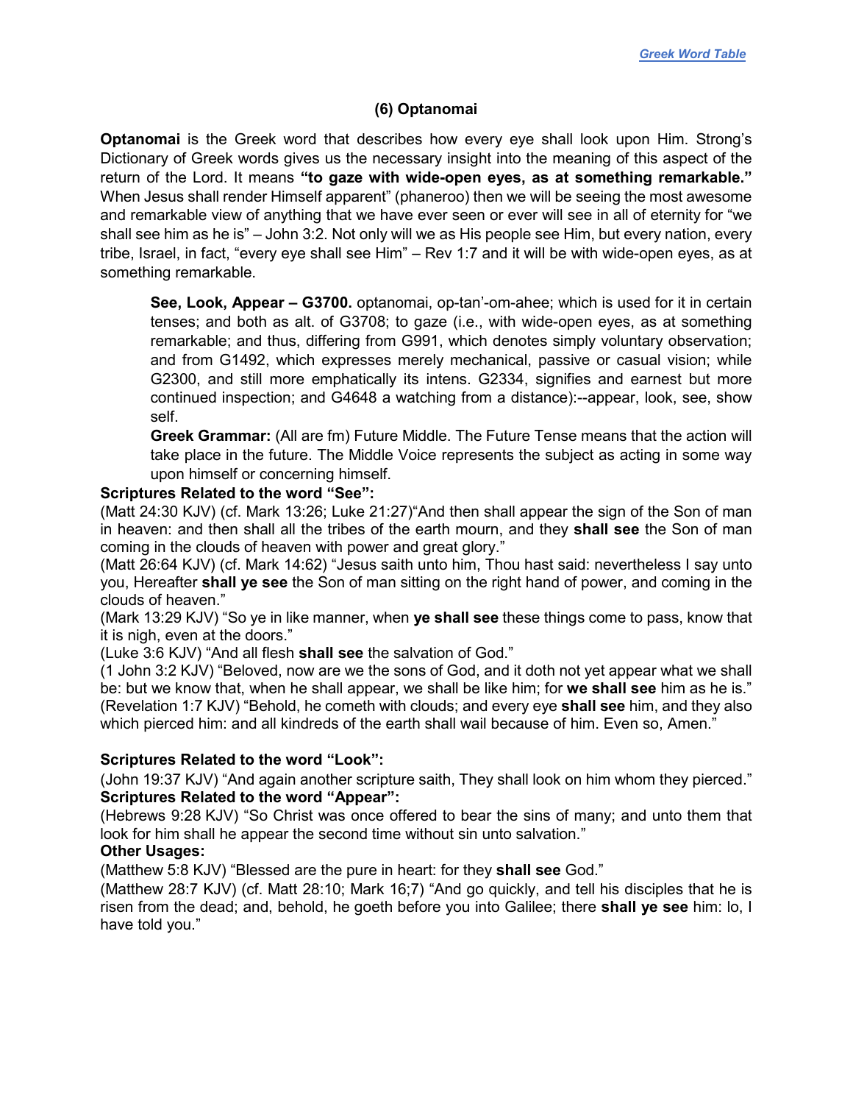# **(6) Optanomai**

<span id="page-9-0"></span>**Optanomai** is the Greek word that describes how every eye shall look upon Him. Strong's Dictionary of Greek words gives us the necessary insight into the meaning of this aspect of the return of the Lord. It means **"to gaze with wide-open eyes, as at something remarkable."** When Jesus shall render Himself apparent" (phaneroo) then we will be seeing the most awesome and remarkable view of anything that we have ever seen or ever will see in all of eternity for "we shall see him as he is" – John 3:2. Not only will we as His people see Him, but every nation, every tribe, Israel, in fact, "every eye shall see Him" – Rev 1:7 and it will be with wide-open eyes, as at something remarkable.

**See, Look, Appear – G3700.** optanomai, op-tan'-om-ahee; which is used for it in certain tenses; and both as alt. of G3708; to gaze (i.e., with wide-open eyes, as at something remarkable; and thus, differing from G991, which denotes simply voluntary observation; and from G1492, which expresses merely mechanical, passive or casual vision; while G2300, and still more emphatically its intens. G2334, signifies and earnest but more continued inspection; and G4648 a watching from a distance):--appear, look, see, show self.

**Greek Grammar:** (All are fm) Future Middle. The Future Tense means that the action will take place in the future. The Middle Voice represents the subject as acting in some way upon himself or concerning himself.

### **Scriptures Related to the word "See":**

(Matt 24:30 KJV) (cf. Mark 13:26; Luke 21:27)"And then shall appear the sign of the Son of man in heaven: and then shall all the tribes of the earth mourn, and they **shall see** the Son of man coming in the clouds of heaven with power and great glory."

(Matt 26:64 KJV) (cf. Mark 14:62) "Jesus saith unto him, Thou hast said: nevertheless I say unto you, Hereafter **shall ye see** the Son of man sitting on the right hand of power, and coming in the clouds of heaven."

(Mark 13:29 KJV) "So ye in like manner, when **ye shall see** these things come to pass, know that it is nigh, even at the doors."

(Luke 3:6 KJV) "And all flesh **shall see** the salvation of God."

(1 John 3:2 KJV) "Beloved, now are we the sons of God, and it doth not yet appear what we shall be: but we know that, when he shall appear, we shall be like him; for **we shall see** him as he is." (Revelation 1:7 KJV) "Behold, he cometh with clouds; and every eye **shall see** him, and they also which pierced him: and all kindreds of the earth shall wail because of him. Even so, Amen."

### **Scriptures Related to the word "Look":**

(John 19:37 KJV) "And again another scripture saith, They shall look on him whom they pierced." **Scriptures Related to the word "Appear":**

(Hebrews 9:28 KJV) "So Christ was once offered to bear the sins of many; and unto them that look for him shall he appear the second time without sin unto salvation."

# **Other Usages:**

(Matthew 5:8 KJV) "Blessed are the pure in heart: for they **shall see** God."

(Matthew 28:7 KJV) (cf. Matt 28:10; Mark 16;7) "And go quickly, and tell his disciples that he is risen from the dead; and, behold, he goeth before you into Galilee; there **shall ye see** him: lo, I have told you."